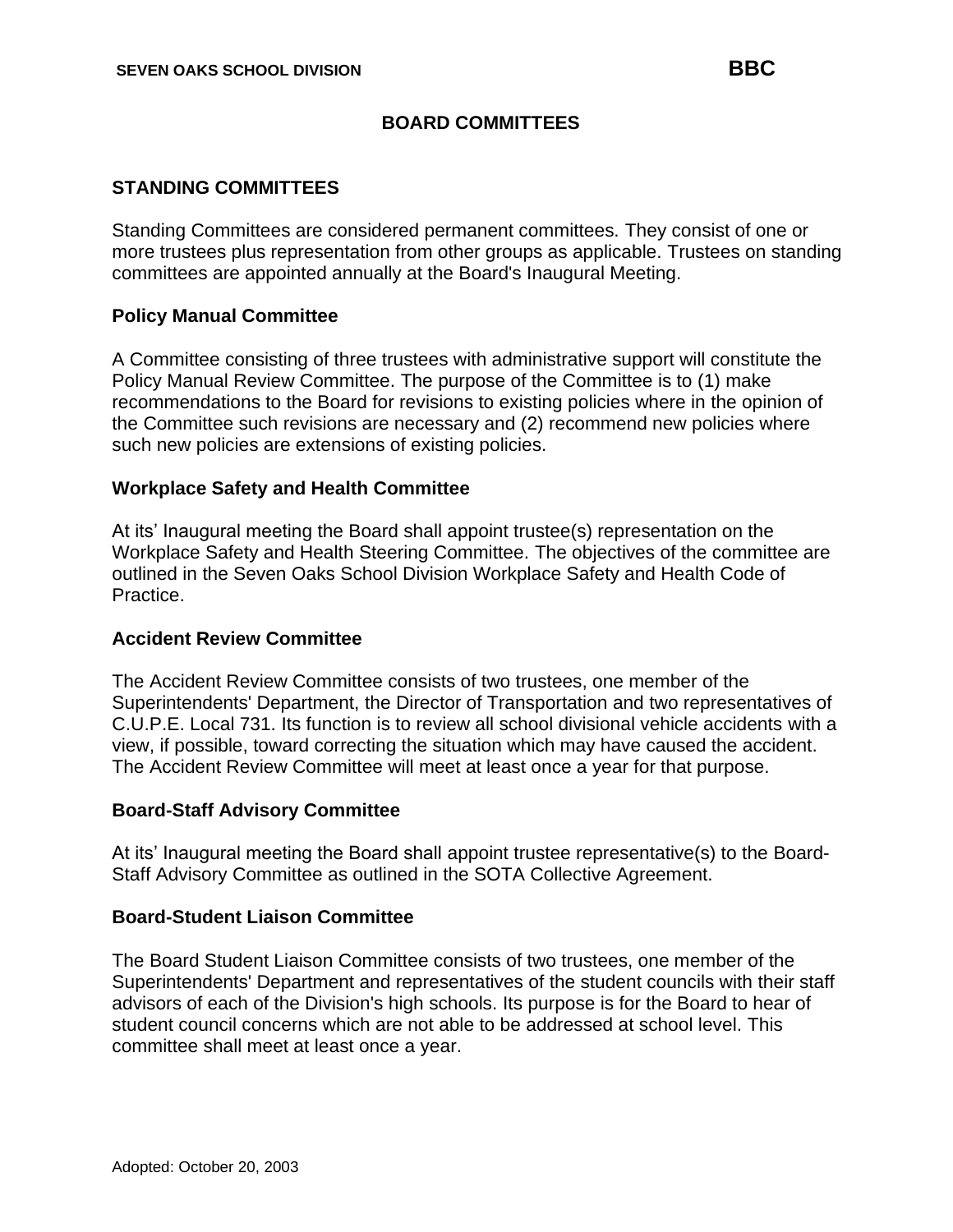## **BOARD COMMITTEES**

### **STANDING COMMITTEES**

Standing Committees are considered permanent committees. They consist of one or more trustees plus representation from other groups as applicable. Trustees on standing committees are appointed annually at the Board's Inaugural Meeting.

### **Policy Manual Committee**

A Committee consisting of three trustees with administrative support will constitute the Policy Manual Review Committee. The purpose of the Committee is to (1) make recommendations to the Board for revisions to existing policies where in the opinion of the Committee such revisions are necessary and (2) recommend new policies where such new policies are extensions of existing policies.

#### **Workplace Safety and Health Committee**

At its' Inaugural meeting the Board shall appoint trustee(s) representation on the Workplace Safety and Health Steering Committee. The objectives of the committee are outlined in the Seven Oaks School Division Workplace Safety and Health Code of Practice.

#### **Accident Review Committee**

The Accident Review Committee consists of two trustees, one member of the Superintendents' Department, the Director of Transportation and two representatives of C.U.P.E. Local 731. Its function is to review all school divisional vehicle accidents with a view, if possible, toward correcting the situation which may have caused the accident. The Accident Review Committee will meet at least once a year for that purpose.

#### **Board-Staff Advisory Committee**

At its' Inaugural meeting the Board shall appoint trustee representative(s) to the Board-Staff Advisory Committee as outlined in the SOTA Collective Agreement.

#### **Board-Student Liaison Committee**

The Board Student Liaison Committee consists of two trustees, one member of the Superintendents' Department and representatives of the student councils with their staff advisors of each of the Division's high schools. Its purpose is for the Board to hear of student council concerns which are not able to be addressed at school level. This committee shall meet at least once a year.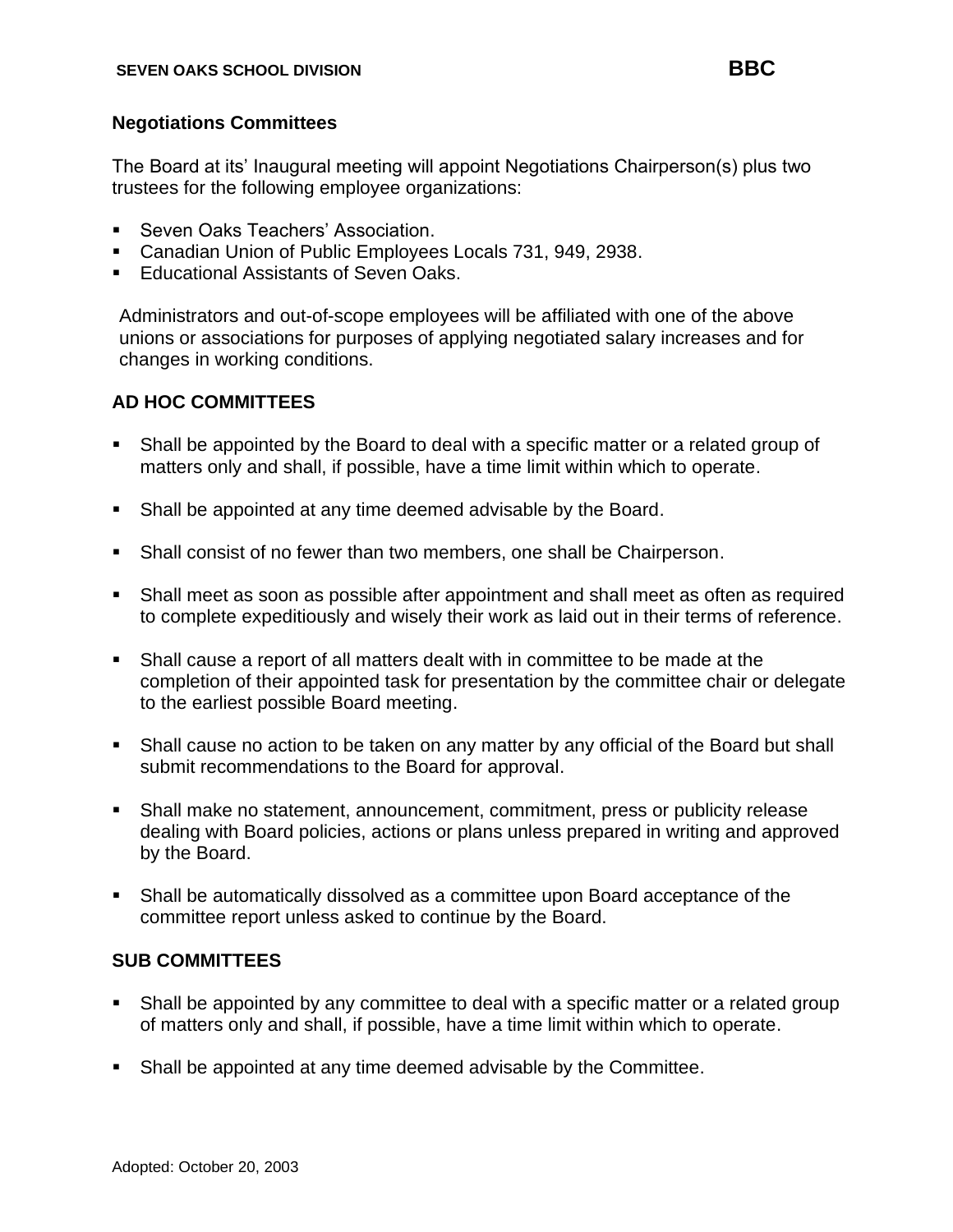## **Negotiations Committees**

The Board at its' Inaugural meeting will appoint Negotiations Chairperson(s) plus two trustees for the following employee organizations:

- Seven Oaks Teachers' Association.
- Canadian Union of Public Employees Locals 731, 949, 2938.
- **Educational Assistants of Seven Oaks.**

Administrators and out-of-scope employees will be affiliated with one of the above unions or associations for purposes of applying negotiated salary increases and for changes in working conditions.

# **AD HOC COMMITTEES**

- **EXECT** Shall be appointed by the Board to deal with a specific matter or a related group of matters only and shall, if possible, have a time limit within which to operate.
- Shall be appointed at any time deemed advisable by the Board.
- **•** Shall consist of no fewer than two members, one shall be Chairperson.
- **•** Shall meet as soon as possible after appointment and shall meet as often as required to complete expeditiously and wisely their work as laid out in their terms of reference.
- Shall cause a report of all matters dealt with in committee to be made at the completion of their appointed task for presentation by the committee chair or delegate to the earliest possible Board meeting.
- Shall cause no action to be taken on any matter by any official of the Board but shall submit recommendations to the Board for approval.
- Shall make no statement, announcement, commitment, press or publicity release dealing with Board policies, actions or plans unless prepared in writing and approved by the Board.
- Shall be automatically dissolved as a committee upon Board acceptance of the committee report unless asked to continue by the Board.

# **SUB COMMITTEES**

- **•** Shall be appointed by any committee to deal with a specific matter or a related group of matters only and shall, if possible, have a time limit within which to operate.
- Shall be appointed at any time deemed advisable by the Committee.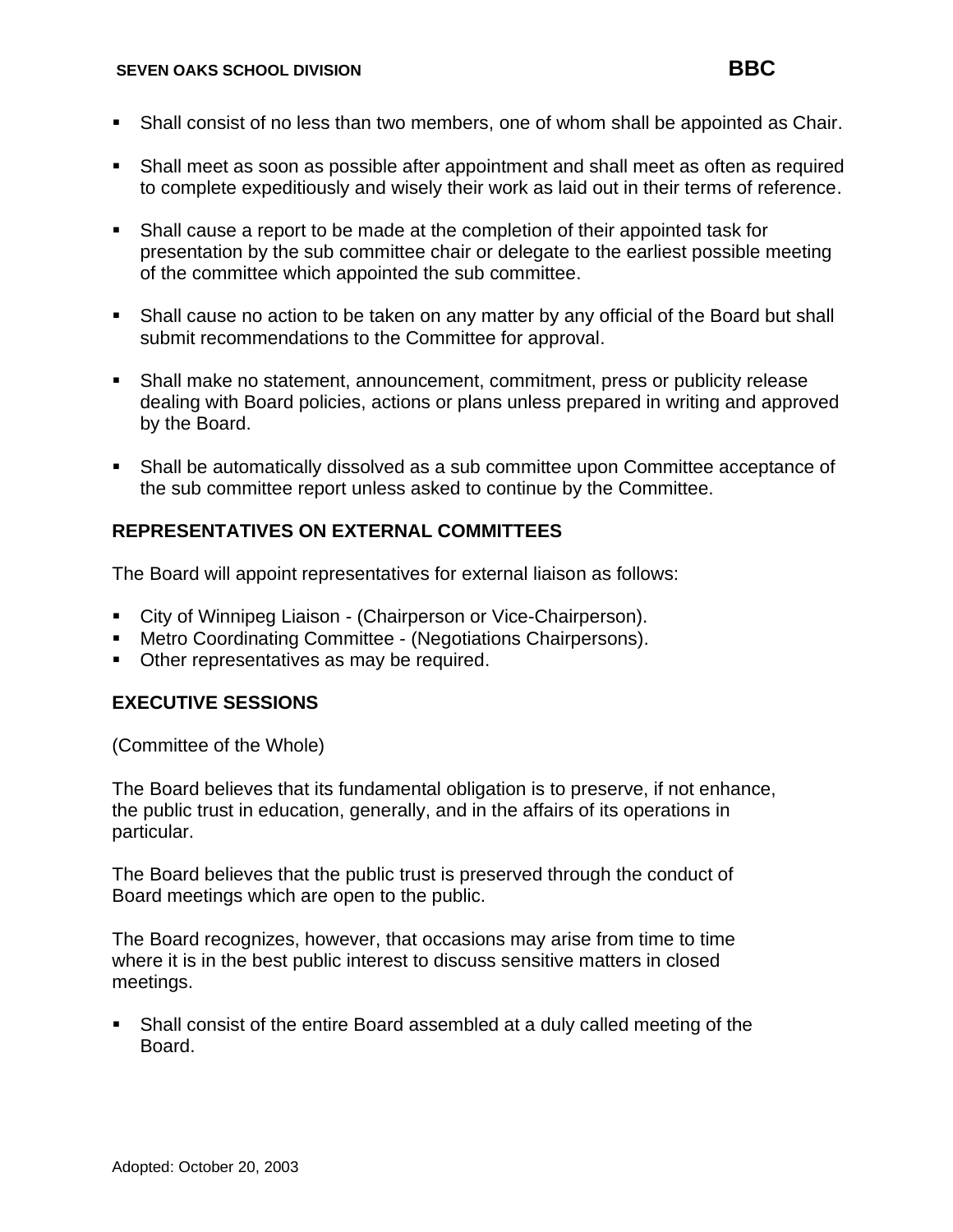- **•** Shall consist of no less than two members, one of whom shall be appointed as Chair.
- **•** Shall meet as soon as possible after appointment and shall meet as often as required to complete expeditiously and wisely their work as laid out in their terms of reference.
- Shall cause a report to be made at the completion of their appointed task for presentation by the sub committee chair or delegate to the earliest possible meeting of the committee which appointed the sub committee.
- Shall cause no action to be taken on any matter by any official of the Board but shall submit recommendations to the Committee for approval.
- Shall make no statement, announcement, commitment, press or publicity release dealing with Board policies, actions or plans unless prepared in writing and approved by the Board.
- Shall be automatically dissolved as a sub committee upon Committee acceptance of the sub committee report unless asked to continue by the Committee.

## **REPRESENTATIVES ON EXTERNAL COMMITTEES**

The Board will appoint representatives for external liaison as follows:

- City of Winnipeg Liaison (Chairperson or Vice-Chairperson).
- Metro Coordinating Committee (Negotiations Chairpersons).
- Other representatives as may be required.

#### **EXECUTIVE SESSIONS**

(Committee of the Whole)

The Board believes that its fundamental obligation is to preserve, if not enhance, the public trust in education, generally, and in the affairs of its operations in particular.

The Board believes that the public trust is preserved through the conduct of Board meetings which are open to the public.

The Board recognizes, however, that occasions may arise from time to time where it is in the best public interest to discuss sensitive matters in closed meetings.

**•** Shall consist of the entire Board assembled at a duly called meeting of the Board.